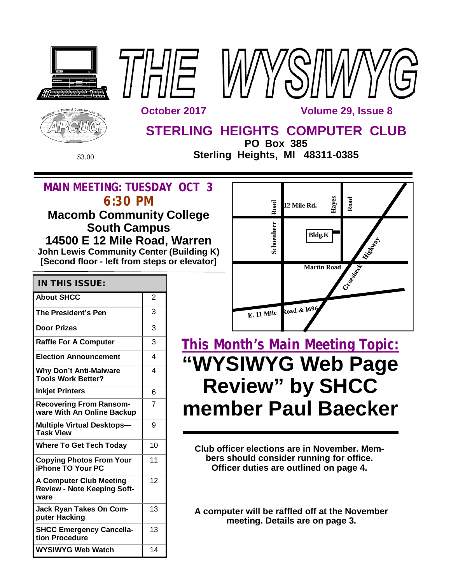





**STERLING HEIGHTS COMPUTER CLUB**

**PO Box 385** \$3.00 **Sterling Heights, MI 48311-0385**

## **MAIN MEETING: TUESDAY OCT 3 6:30 PM**

## **Macomb Community College South Campus 14500 E 12 Mile Road, Warren John Lewis Community Center (Building K) [Second floor - left from steps or elevator]**

| <b>IN THIS ISSUE:</b>                                                        |                |
|------------------------------------------------------------------------------|----------------|
| <b>About SHCC</b>                                                            | $\overline{2}$ |
| The President's Pen                                                          | 3              |
| <b>Door Prizes</b>                                                           | 3              |
| <b>Raffle For A Computer</b>                                                 | 3              |
| <b>Election Announcement</b>                                                 | 4              |
| <b>Why Don't Anti-Malware</b><br><b>Tools Work Better?</b>                   | 4              |
| <b>Inkjet Printers</b>                                                       | 6              |
| <b>Recovering From Ransom-</b><br>ware With An Online Backup                 | 7              |
| <b>Multiple Virtual Desktops-</b><br><b>Task View</b>                        | 9              |
| <b>Where To Get Tech Today</b>                                               | 10             |
| <b>Copying Photos From Your</b><br><b>iPhone TO Your PC</b>                  | 11             |
| <b>A Computer Club Meeting</b><br><b>Review - Note Keeping Soft-</b><br>ware | 12             |
| <b>Jack Ryan Takes On Com-</b><br>puter Hacking                              | 13             |
| <b>SHCC Emergency Cancella-</b><br>tion Procedure                            | 13             |
| WYSIWYG Web Watch                                                            | 14             |



# **This Month's Main Meeting Topic: "WYSIWYG Web Page Review" by SHCC member Paul Baecker**

**Club officer elections are in November. Members should consider running for office. Officer duties are outlined on page 4.**

**A computer will be raffled off at the November meeting. Details are on page 3.**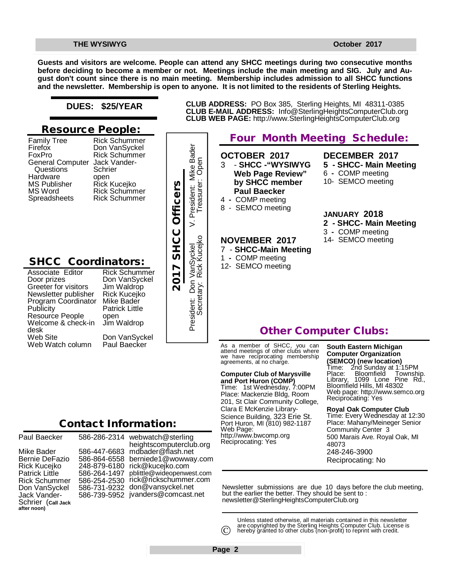**Guests and visitors are welcome. People can attend any SHCC meetings during two consecutive months before deciding to become a member or not. Meetings include the main meeting and SIG. July and August don't count since there is no main meeting. Membership includes admission to all SHCC functions and the newsletter. Membership is open to anyone. It is not limited to the residents of Sterling Heights.**

### **DUES: \$25/YEAR**

### **Resource People:**

| <b>Family Tree</b>      | <b>Rick Schummer</b>          |
|-------------------------|-------------------------------|
| Firefox                 | Don VanSyckel                 |
| FoxPro                  | <b>Rick Schummer</b>          |
| <b>General Computer</b> | Jack Vander-                  |
| Questions               | Schrier                       |
| Hardware                | open                          |
| <b>MS Publisher</b>     |                               |
| MS Word                 | Rick Kucejko<br>Rick Schummer |
| Spreadsheets            | <b>Rick Schummer</b>          |
|                         |                               |

## **SHCC Coordinators:**

| Associate Editor     |
|----------------------|
| Door prizes          |
| Greeter for visitors |
| Newsletter publisher |
| Program Coordinator  |
| Publicity            |
| Resource People      |
| Welcome & check-in   |
| desk                 |
| <b>Web Site</b>      |
| Web Watch column     |

Rick Schummer Don VanSyckel Jim Waldrop Rick Kucejko Mike Bader Patrick Little open Jim Waldrop Don VanSyckel Paul Baecker France Rick Kucejko<br>
Pick Schummer<br>
Pick Schummer<br>
Pick Schummer<br> **2017 SHCC Of Schummer**<br>
2017 SUNDING Jim Waldrop<br>
2017 Visitors<br> *2017 SHCC Of SUNDING*<br>
2018 Scheck-in Jim Waldrop<br>
2018 Scheck-in Jim Waldrop<br>
2018 Schec



## **Four Month Meeting Schedule:**

**CLUB ADDRESS:** PO Box 385, Sterling Heights, MI 48311-0385 **CLUB E-MAIL ADDRESS:** [Info@SterlingHeightsComputerClub.org](mailto:Info@SterlingHeightsComputerClub.org)

> **OCTOBER 2017** 3 - **SHCC -"WYSIWYG Web Page Review" by SHCC member Paul Baecker**  4 **-** COMP meeting

- 8 SEMCO meeting
- 

### **NOVEMBER 2017**

- 7 **SHCC-Main Meeting**
- 1 COMP meeting
- 12- SEMCO meeting

### **DECEMBER 2017 5 - SHCC- Main Meeting** 6 **-** COMP meeting 10- SEMCO meeting

### **JANUARY 2018**

- **2 - SHCC- Main Meeting**
- 3 COMP meeting

## 14- SEMCO meeting

## **Other Computer Clubs:**

As a member of SHCC, you can attend meetings of other clubs where we have reciprocating membership agreements, at no charge.

### **Computer Club of Marysville**

**and Port Huron (COMP)** Time: 1st Wednesday, 7:00PM Place: Mackenzie Bldg, Room 201, St Clair Community College, Clara E McKenzie Library-Science Building, 323 Erie St. Port Huron, MI (810) 982-1187 Web Page: <http://www.bwcomp.org> Reciprocating: Yes

### **South Eastern Michigan Computer Organization**

**(SEMCO) (new location)** Time: 2nd Sunday at 1:15PM Place: Bloomfield Township. Library, 1099 Lone Pine Rd., Library, 1099 Lone Pin<br>Bloomfield Hills, MI 48302 Web page: <http://www.semco.org> Reciprocating: Yes

#### **Royal Oak Computer Club**

Time: Every Wednesday at 12:30 Place: Mahany/Meineger Senior Community Center 3 500 Marais Ave. Royal Oak, MI 48073 248-246-3900 Reciprocating: No

Newsletter submissions are due 10 days before the club meeting, but the earlier the better. They should be sent to : [newsletter@SterlingHeightsComputerClub.org](mailto:newsletter@SterlingHeightsComputerClub.org)

Unless stated otherwise, all materials contained in this newsletter are copyrighted by the Sterling Heights Computer Club. License is hereby granted to other clubs (non-profit) to reprint with credit.  $\odot$ 

| Paul Baecker                                                                                                                                          | 58                                     |
|-------------------------------------------------------------------------------------------------------------------------------------------------------|----------------------------------------|
| Mike Bader<br>Bernie DeFazio<br>Rick Kucejko<br>Patrick Little<br>Rick Schummer<br>Don VanSyckel<br>Jack Vander-<br>Schrier (call Jack<br>after noon) | 58<br>58<br>24<br>58<br>58<br>58<br>58 |
|                                                                                                                                                       |                                        |

586-286-2314 webwatch@sterling 586-447-6683 [mdbader@flash.net](mailto:mdbader@flash.net) 586-864-6558 [berniede1@wowway.com](mailto:berniede1@wowway.com) 248-879-6180 [rick@kucejko.com](mailto:rick@kucejko.com) 586-264-1497 [pblittle@wideopenwest.com](mailto:pblittle@wideopenwest.com) 586-254-2530 [rick@rickschummer.com](mailto:rick@rickschummer.com) 586-731-9232 [don@vansyckel.net](mailto:don@vansyckel.net) 586-739-5952 [jvanders@comcast.net](mailto:jvanders@comcast.net) heightscomputerclub.org

**Page 2**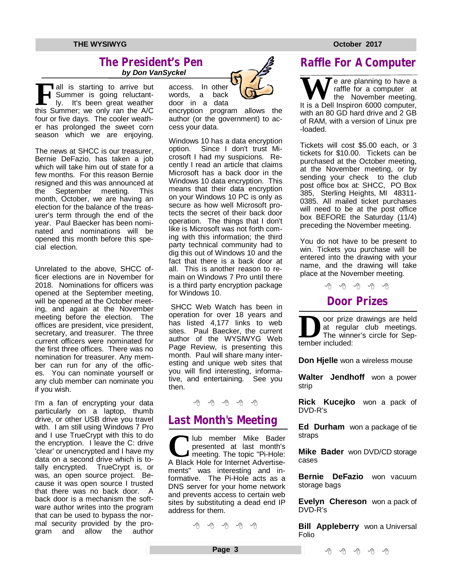### **The President's Pen**   *by Don VanSyckel*

**F** all is starting to arrive but<br>
Summer is going reluctant-<br>
ly. It's been great weather<br>
this Summer; we only ran the A/C all is starting to arrive but Summer is going reluctantly. It's been great weather four or five days. The cooler weather has prolonged the sweet corn season which we are enjoying.

The news at SHCC is our treasurer, Bernie DeFazio, has taken a job which will take him out of state for a few months. For this reason Bernie resigned and this was announced at<br>the September meeting. This September meeting. This month, October, we are having an election for the balance of the treasurer's term through the end of the year. Paul Baecker has been nominated and nominations will be opened this month before this special election.

Unrelated to the above, SHCC officer elections are in November for 2018. Nominations for officers was opened at the September meeting, will be opened at the October meeting, and again at the November meeting before the election. The offices are president, vice president, secretary, and treasurer. The three current officers were nominated for the first three offices. There was no nomination for treasurer. Any member can run for any of the offices. You can nominate yourself or any club member can nominate you if you wish.

I'm a fan of encrypting your data particularly on a laptop, thumb drive, or other USB drive you travel with. I am still using Windows 7 Pro and I use TrueCrypt with this to do the encryption. I leave the C: drive 'clear' or unencrypted and I have my data on a second drive which is totally encrypted. TrueCrypt is, or was, an open source project. Because it was open source I trusted that there was no back door. A back door is a mechanism the software author writes into the program that can be used to bypass the normal security provided by the program and allow the author access. In other words, a back door in a data



encryption program allows the author (or the government) to access your data.

Windows 10 has a data encryption option. Since I don't trust Microsoft I had my suspicions. Recently I read an article that claims Microsoft has a back door in the Windows 10 data encryption. This means that their data encryption on your Windows 10 PC is only as secure as how well Microsoft protects the secret of their back door operation. The things that I don't like is Microsoft was not forth coming with this information; the third party technical community had to dig this out of Windows 10 and the fact that there is a back door at all. This is another reason to remain on Windows 7 Pro until there is a third party encryption package for Windows 10.

SHCC Web Watch has been in operation for over 18 years and has listed 4,177 links to web sites. Paul Baecker, the current author of the WYSIWYG Web Page Review, is presenting this month. Paul will share many interesting and unique web sites that you will find interesting, informative, and entertaining. See you then.

### A A A A A

## **Last Month's Meeting**

**C**lub member Mike Bader<br>
presented at last month's<br>
A Black Hole for Internet Advertiselub member Mike Bader presented at last month's meeting. The topic "Pi-Hole: ments" was interesting and informative. The Pi-Hole acts as a DNS server for your home network and prevents access to certain web sites by substituting a dead end IP address for them.

A A A A A

**Page 3**

## **Raffle For A Computer**

We are planning to have a<br>
It is a Dell Inspiron 6000 computer, raffle for a computer at the November meeting. with an 80 GD hard drive and 2 GB of RAM, with a version of Linux pre -loaded.

Tickets will cost \$5.00 each, or 3 tickets for \$10.00. Tickets can be purchased at the October meeting, at the November meeting, or by sending your check to the club post office box at: SHCC, PO Box 385, Sterling Heights, MI 48311- 0385. All mailed ticket purchases will need to be at the post office box BEFORE the Saturday (11/4) preceding the November meeting.

You do not have to be present to win. Tickets you purchase will be entered into the drawing with your name, and the drawing will take place at the November meeting.

平 平 平 平 平

## **Door Prizes**

**D**<br>
at reguli<br>
The winn<br>
tember included: oor prize drawings are held at regular club meetings. The winner's circle for Sep-

**Don Hjelle** won a wireless mouse

**Walter Jendhoff** won a power strip

**Rick Kucejko** won a pack of DVD-R's

**Ed Durham** won a package of tie straps

**Mike Bader** won DVD/CD storage cases

**Bernie DeFazio** won vacuum storage bags

**Evelyn Chereson** won a pack of DVD-R's

**Bill Appleberry** won a Universal Folio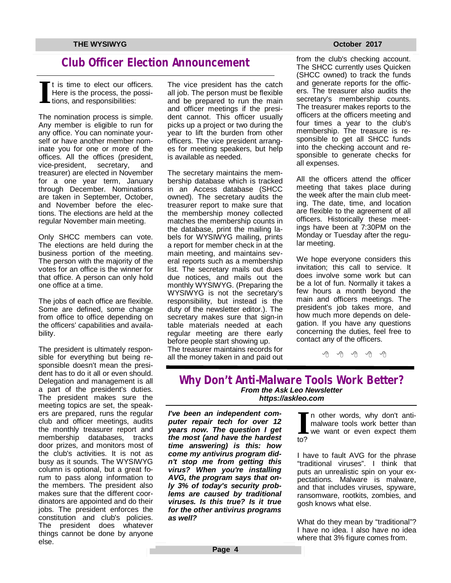## **Club Officer Election Announcement**

**I** t is time to elect our officers. Here is the process, the possitions, and responsibilities:

The nomination process is simple. Any member is eligible to run for any office. You can nominate yourself or have another member nominate you for one or more of the offices. All the offices (president, vice-president, secretary, and treasurer) are elected in November for a one year term, January through December. Nominations are taken in September, October, and November before the elections. The elections are held at the regular November main meeting.

Only SHCC members can vote. The elections are held during the business portion of the meeting. The person with the majority of the votes for an office is the winner for that office. A person can only hold one office at a time.

The jobs of each office are flexible. Some are defined, some change from office to office depending on the officers' capabilities and availability.

The president is ultimately responsible for everything but being responsible doesn't mean the president has to do it all or even should. Delegation and management is all a part of the president's duties. The president makes sure the meeting topics are set, the speakers are prepared, runs the regular club and officer meetings, audits the monthly treasurer report and membership databases, tracks door prizes, and monitors most of the club's activities. It is not as busy as it sounds. The WYSIWYG column is optional, but a great forum to pass along information to the members. The president also makes sure that the different coordinators are appointed and do their jobs. The president enforces the constitution and club's policies. The president does whatever things cannot be done by anyone else.

The vice president has the catch all job. The person must be flexible and be prepared to run the main and officer meetings if the president cannot. This officer usually picks up a project or two during the year to lift the burden from other officers. The vice president arranges for meeting speakers, but help is available as needed.

The secretary maintains the membership database which is tracked in an Access database (SHCC owned). The secretary audits the treasurer report to make sure that the membership money collected matches the membership counts in the database, print the mailing labels for WYSIWYG mailing, prints a report for member check in at the main meeting, and maintains several reports such as a membership list. The secretary mails out dues due notices, and mails out the monthly WYSIWYG. (Preparing the WYSIWYG is not the secretary's responsibility, but instead is the duty of the newsletter editor.). The secretary makes sure that sign-in table materials needed at each regular meeting are there early before people start showing up. The treasurer maintains records for all the money taken in and paid out

from the club's checking account. The SHCC currently uses Quicken (SHCC owned) to track the funds and generate reports for the officers. The treasurer also audits the secretary's membership counts. The treasurer makes reports to the officers at the officers meeting and four times a year to the club's membership. The treasure is responsible to get all SHCC funds into the checking account and responsible to generate checks for all expenses.

All the officers attend the officer meeting that takes place during the week after the main club meeting. The date, time, and location are flexible to the agreement of all officers. Historically these meetings have been at 7:30PM on the Monday or Tuesday after the regular meeting.

 concerning the duties, feel free to We hope everyone considers this invitation; this call to service. It does involve some work but can be a lot of fun. Normally it takes a few hours a month beyond the main and officers meetings. The president's job takes more, and how much more depends on delegation. If you have any questions contact any of the officers.

一个 一个

### **Why Don't Anti-Malware Tools Work Better?** *From the Ask Leo Newsletter <https://askleo.com>*

*I've been an independent computer repair tech for over 12 years now. The question I get the most (and have the hardest time answering) is this: how come my antivirus program didn't stop me from getting this virus? When you're installing AVG, the program says that only 3% of today's security problems are caused by traditional viruses. Is this true? Is it true for the other antivirus programs as well?* 

**I** to? n other words, why don't antimalware tools work better than we want or even expect them

I have to fault AVG for the phrase "traditional viruses". I think that puts an unrealistic spin on your expectations. Malware is malware, and that includes viruses, spyware, ransomware, rootkits, zombies, and gosh knows what else.

What do they mean by "traditional"? I have no idea. I also have no idea where that 3% figure comes from.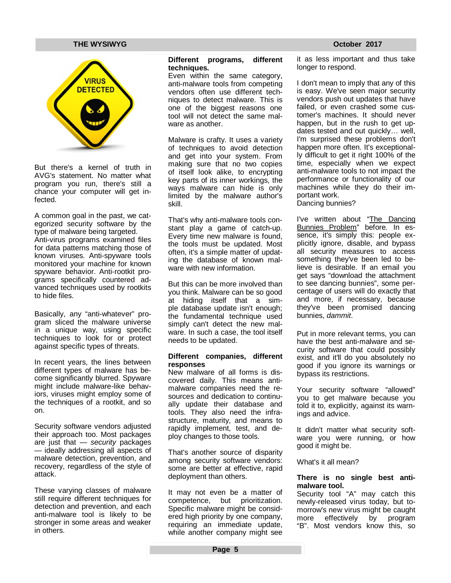

But there's a kernel of truth in AVG's statement. No matter what program you run, there's still a chance your computer will get infected.

A common goal in the past, we categorized security software by the type of malware being targeted. Anti-virus programs examined files for data patterns matching those of known viruses. Anti-spyware tools monitored your machine for known spyware behavior. Anti-rootkit programs specifically countered advanced techniques used by rootkits to hide files.

Basically, any "anti-whatever" program sliced the malware universe in a unique way, using specific techniques to look for or protect against specific types of threats.

In recent years, the lines between different types of malware has become significantly blurred. Spyware might include malware-like behaviors, viruses might employ some of the techniques of a rootkit, and so on.

Security software vendors adjusted their approach too. Most packages are just that — *security* packages — ideally addressing all aspects of malware detection, prevention, and recovery, regardless of the style of attack.

These varying classes of malware still require different techniques for detection and prevention, and each anti-malware tool is likely to be stronger in some areas and weaker in others.

#### **Different programs, different techniques.**

Even within the same category, anti-malware tools from competing vendors often use different techniques to detect malware. This is one of the biggest reasons one tool will not detect the same malware as another.

Malware is crafty. It uses a variety of techniques to avoid detection and get into your system. From making sure that no two copies of itself look alike, to encrypting key parts of its inner workings, the ways malware can hide is only limited by the malware author's skill.

That's why anti-malware tools constant play a game of catch-up. Every time new malware is found, the tools must be updated. Most often, it's a simple matter of updating the database of known malware with new information.

But this can be more involved than you think. Malware can be so good at hiding itself that a simple database update isn't enough; the fundamental technique used simply can't detect the new malware. In such a case, the tool itself needs to be updated.

#### **Different companies, different responses**

New malware of all forms is discovered daily. This means antimalware companies need the resources and dedication to continually update their database and tools. They also need the infrastructure, maturity, and means to rapidly implement, test, and deploy changes to those tools.

That's another source of disparity among security software vendors: some are better at effective, rapid deployment than others.

It may not even be a matter of competence, but prioritization. Specific malware might be considered high priority by one company, requiring an immediate update, while another company might see it as less important and thus take longer to respond.

I don't mean to imply that any of this is easy. We've seen major security vendors push out updates that have failed, or even crashed some customer's machines. It should never happen, but in the rush to get updates tested and out quickly… well, I'm surprised these problems don't happen more often. It's exceptionally difficult to get it right 100% of the time, especially when we expect anti-malware tools to not impact the performance or functionality of our machines while they do their important work. Dancing bunnies?

I've written about "The Dancing Bunnies Problem" before. In essence, it's simply this: people explicitly ignore, disable, and bypass all security measures to access something they've been led to believe is desirable. If an email you get says "download the attachment to see dancing bunnies", some percentage of users will do exactly that and more, if necessary, because they've been promised dancing bunnies, *dammit*.

Put in more relevant terms, you can have the best anti-malware and security software that could possibly exist, and it'll do you absolutely no good if you ignore its warnings or bypass its restrictions.

Your security software "allowed" you to get malware because you told it to, explicitly, against its warnings and advice.

It didn't matter what security software you were running, or how good it might be.

What's it all mean?

#### **There is no single best antimalware tool.**

Security tool "A" may catch this newly-released virus today, but tomorrow's new virus might be caught<br>more effectively by program more effectively by "B". Most vendors know this, so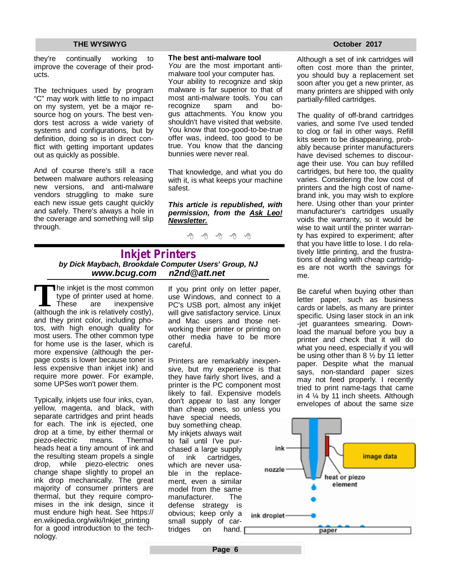they're continually working to improve the coverage of their products.

The techniques used by program "C" may work with little to no impact on my system, yet be a major resource hog on yours. The best vendors test across a wide variety of systems and configurations, but by definition, doing so is in direct conflict with getting important updates out as quickly as possible.

And of course there's still a race between malware authors releasing new versions, and anti-malware vendors struggling to make sure each new issue gets caught quickly and safely. There's always a hole in the coverage and something will slip through.

#### **The best anti-malware tool**

*You* are the most important antimalware tool your computer has. Your ability to recognize and skip malware is far superior to that of most anti-malware tools. You can recognize spam and bogus attachments. You know you shouldn't have visited that website. You know that too-good-to-be-true offer was, indeed, too good to be true. You know that the dancing bunnies were never real.

That knowledge, and what you do with it, is what keeps your machine safest.

*This article is republished, with permission, from the Ask Leo! Newsletter.* 

A A A

### **Inkjet Printers** *by Dick Maybach, Brookdale Computer Users' Group, NJ [www.bcug.com](http://www.bcug.com) [n2nd@att.net](mailto:n2nd@att.net)*

The inkjet is the most common<br>type of printer used at home.<br>(although the ink is relatively costly), he inkjet is the most common type of printer used at home. These are inexpensive and they print color, including photos, with high enough quality for most users. The other common type for home use is the laser, which is more expensive (although the perpage costs is lower because toner is less expensive than inkjet ink) and require more power. For example, some UPSes won't power them.

Typically, inkjets use four inks, cyan, yellow, magenta, and black, with separate cartridges and print heads for each. The ink is ejected, one drop at a time, by either thermal or piezo-electric means. Thermal heads heat a tiny amount of ink and the resulting steam propels a single drop, while piezo-electric ones change shape slightly to propel an ink drop mechanically. The great majority of consumer printers are thermal, but they require compromises in the ink design, since it must endure high heat. See <https://> en.wikipedia.org/wiki/Inkjet\_printing for a good introduction to the technology.

If you print only on letter paper, use Windows, and connect to a PC's USB port, almost any inkjet will give satisfactory service. Linux and Mac users and those networking their printer or printing on other media have to be more careful.

Printers are remarkably inexpensive, but my experience is that they have fairly short lives, and a printer is the PC component most likely to fail. Expensive models don't appear to last any longer than cheap ones, so unless you

have special needs, buy something cheap. My inkjets always wait to fail until I've purchased a large supply of ink cartridges, which are never usable in the replacement, even a similar model from the same manufacturer. The defense strategy is obvious; keep only a small supply of cartridges on hand. Although a set of ink cartridges will often cost more than the printer, you should buy a replacement set soon after you get a new printer, as many printers are shipped with only partially-filled cartridges.

The quality of off-brand cartridges varies, and some I've used tended to clog or fail in other ways. Refill kits seem to be disappearing, probably because printer manufacturers have devised schemes to discourage their use. You can buy refilled cartridges, but here too, the quality varies. Considering the low cost of printers and the high cost of namebrand ink, you may wish to explore here. Using other than your printer manufacturer's cartridges usually voids the warranty, so it would be wise to wait until the printer warranty has expired to experiment; after that you have little to lose. I do relatively little printing, and the frustrations of dealing with cheap cartridges are not worth the savings for me.

Be careful when buying other than letter paper, such as business cards or labels, as many are printer specific. Using laser stock in an ink -jet guarantees smearing. Download the manual before you buy a printer and check that it will do what you need, especially if you will be using other than  $8\frac{1}{2}$  by 11 letter paper. Despite what the manual says, non-standard paper sizes may not feed properly. I recently tried to print name-tags that came in 4 ¼ by 11 inch sheets. Although envelopes of about the same size



**Page 6**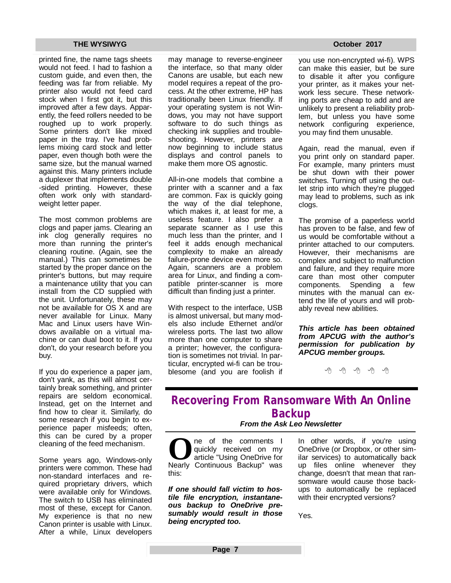printed fine, the name tags sheets would not feed. I had to fashion a custom guide, and even then, the feeding was far from reliable. My printer also would not feed card stock when I first got it, but this improved after a few days. Apparently, the feed rollers needed to be roughed up to work properly. Some printers don't like mixed paper in the tray. I've had problems mixing card stock and letter paper, even though both were the same size, but the manual warned against this. Many printers include a duplexer that implements double -sided printing. However, these often work only with standardweight letter paper.

The most common problems are clogs and paper jams. Clearing an ink clog generally requires no more than running the printer's cleaning routine. (Again, see the manual.) This can sometimes be started by the proper dance on the printer's buttons, but may require a maintenance utility that you can install from the CD supplied with the unit. Unfortunately, these may not be available for OS X and are never available for Linux. Many Mac and Linux users have Windows available on a virtual machine or can dual boot to it. If you don't, do your research before you buy.

If you do experience a paper jam, don't yank, as this will almost certainly break something, and printer repairs are seldom economical. Instead, get on the Internet and find how to clear it. Similarly, do some research if you begin to experience paper misfeeds; often, this can be cured by a proper cleaning of the feed mechanism.

Some years ago, Windows-only printers were common. These had non-standard interfaces and required proprietary drivers, which were available only for Windows. The switch to USB has eliminated most of these, except for Canon. My experience is that no new Canon printer is usable with Linux. After a while, Linux developers may manage to reverse-engineer the interface, so that many older Canons are usable, but each new model requires a repeat of the process. At the other extreme, HP has traditionally been Linux friendly. If your operating system is not Windows, you may not have support software to do such things as checking ink supplies and troubleshooting. However, printers are now beginning to include status displays and control panels to make them more OS agnostic.

All-in-one models that combine a printer with a scanner and a fax are common. Fax is quickly going the way of the dial telephone, which makes it, at least for me, a useless feature. I also prefer a separate scanner as I use this much less than the printer, and I feel it adds enough mechanical complexity to make an already failure-prone device even more so. Again, scanners are a problem area for Linux, and finding a compatible printer-scanner is more difficult than finding just a printer.

With respect to the interface, USB is almost universal, but many models also include Ethernet and/or wireless ports. The last two allow more than one computer to share a printer; however, the configuration is sometimes not trivial. In particular, encrypted wi-fi can be troublesome (and you are foolish if

you use non-encrypted wi-fi). WPS can make this easier, but be sure to disable it after you configure your printer, as it makes your network less secure. These networking ports are cheap to add and are unlikely to present a reliability problem, but unless you have some network configuring experience, you may find them unusable.

Again, read the manual, even if you print only on standard paper. For example, many printers must be shut down with their power switches. Turning off using the outlet strip into which they're plugged may lead to problems, such as ink clogs.

The promise of a paperless world has proven to be false, and few of us would be comfortable without a printer attached to our computers. However, their mechanisms are complex and subject to malfunction and failure, and they require more care than most other computer components. Spending a few minutes with the manual can extend the life of yours and will probably reveal new abilities.

*This article has been obtained from APCUG with the author's permission for publication by APCUG member groups.*

西 西 西 西

## **Recovering From Ransomware With An Online Backup**

### *From the Ask Leo Newsletter*

**O**ne of the comments I<br>
quickly received on my<br>
article "Using OneDrive for<br>
Nearly Continuous Backup" was ne of the comments I quickly received on my article "Using OneDrive for this:

*If one should fall victim to hostile file encryption, instantaneous backup to OneDrive presumably would result in those being encrypted too.*

In other words, if you're using OneDrive (or Dropbox, or other similar services) to automatically back up files online whenever they change, doesn't that mean that ransomware would cause those backups to automatically be replaced with their encrypted versions?

Yes.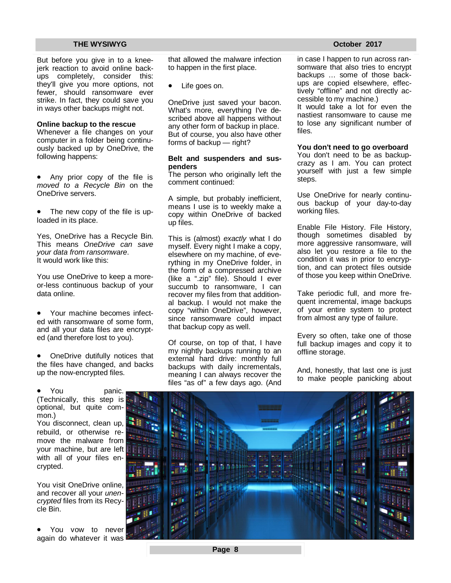But before you give in to a kneejerk reaction to avoid online backups completely, consider this: they'll give you more options, not fewer, should ransomware ever strike. In fact, they could save you in ways other backups might not.

#### **Online backup to the rescue**

Whenever a file changes on your computer in a folder being continuously backed up by OneDrive, the following happens:

 Any prior copy of the file is *moved to a Recycle Bin* on the OneDrive servers.

 The new copy of the file is uploaded in its place.

Yes, OneDrive has a Recycle Bin. This means *OneDrive can save your data from ransomware*. It would work like this:

You use OneDrive to keep a moreor-less continuous backup of your data online.

 Your machine becomes infected with ransomware of some form, and all your data files are encrypted (and therefore lost to you).

 OneDrive dutifully notices that the files have changed, and backs up the now-encrypted files.



You visit OneDrive online, and recover all your *unencrypted* files from its Recycle Bin.

 You vow to never again do whatever it was

that allowed the malware infection to happen in the first place.

Life goes on.

OneDrive just saved your bacon. What's more, everything I've described above all happens without any other form of backup in place. But of course, you also have other forms of backup — right?

#### **Belt and suspenders and suspenders**

The person who originally left the comment continued:

A simple, but probably inefficient, means I use is to weekly make a copy within OneDrive of backed up files.

This is (almost) *exactly* what I do myself. Every night I make a copy, elsewhere on my machine, of everything in my OneDrive folder, in the form of a compressed archive (like a ".zip" file). Should I ever succumb to ransomware, I can recover my files from that additional backup. I would not make the copy "within OneDrive", however, since ransomware could impact that backup copy as well.

Of course, on top of that, I have my nightly backups running to an external hard drive: monthly full backups with daily incrementals, meaning I can always recover the files "as of" a few days ago. (And

in case I happen to run across ransomware that also tries to encrypt backups … some of those backups are copied elsewhere, effectively "offline" and not directly accessible to my machine.)

It would take a lot for even the nastiest ransomware to cause me to lose any significant number of files.

#### **You don't need to go overboard**

You don't need to be as backupcrazy as I am. You can protect yourself with just a few simple steps.

Use OneDrive for nearly continuous backup of your day-to-day working files.

Enable File History. File History, though sometimes disabled by more aggressive ransomware, will also let you restore a file to the condition it was in prior to encryption, and can protect files outside of those you keep within OneDrive.

Take periodic full, and more frequent incremental, image backups of your entire system to protect from almost any type of failure.

Every so often, take one of those full backup images and copy it to offline storage.

And, honestly, that last one is just to make people panicking about

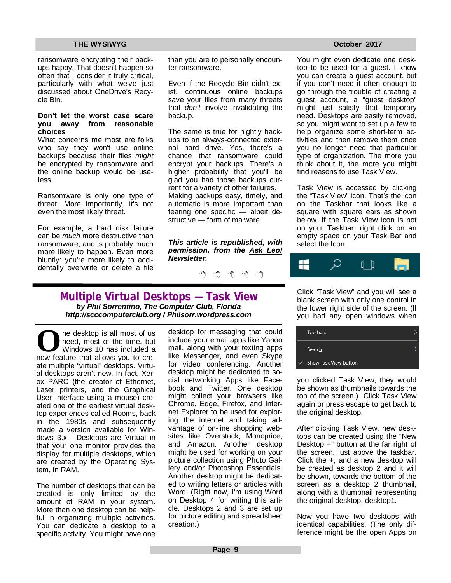ransomware encrypting their backups happy. That doesn't happen so often that I consider it truly critical, particularly with what we've just discussed about OneDrive's Recycle Bin.

#### **Don't let the worst case scare you away from reasonable choices**

What concerns me most are folks who say they won't use online backups because their files *might* be encrypted by ransomware and the online backup would be useless.

Ransomware is only one type of threat. More importantly, it's not even the most likely threat.

For example, a hard disk failure can be *much* more destructive than ransomware, and is probably much more likely to happen. Even more bluntly: you're more likely to accidentally overwrite or delete a file than you are to personally encounter ransomware.

Even if the Recycle Bin didn't exist, continuous online backups save your files from many threats that *don't* involve invalidating the backup.

The same is true for nightly backups to an always-connected external hard drive. Yes, there's a chance that ransomware could encrypt your backups. There's a higher probability that you'll be glad you had those backups current for a variety of other failures. Making backups easy, timely, and automatic is more important than fearing one specific — albeit destructive — form of malware.

*This article is republished, with permission, from the Ask Leo! Newsletter.* 

有 有 有 有

**Multiple Virtual Desktops — Task View** *by Phil Sorrentino, The Computer Club, Florida <http://scccomputerclub.org>/ Philsorr.wordpress.com* 

**O**ne desktop is all most of us<br>
need, most of the time, but<br>
Windows 10 has included a<br>
new feature that allows you to crene desktop is all most of us need, most of the time, but Windows 10 has included a ate multiple "virtual" desktops. Virtual desktops aren't new. In fact, Xerox PARC (the creator of Ethernet, Laser printers, and the Graphical User Interface using a mouse) created one of the earliest virtual desktop experiences called Rooms, back in the 1980s and subsequently made a version available for Windows 3.x. Desktops are Virtual in that your one monitor provides the display for multiple desktops, which are created by the Operating System, in RAM.

The number of desktops that can be created is only limited by the amount of RAM in your system. More than one desktop can be helpful in organizing multiple activities. You can dedicate a desktop to a specific activity. You might have one

desktop for messaging that could include your email apps like Yahoo mail, along with your texting apps like Messenger, and even Skype for video conferencing. Another desktop might be dedicated to social networking Apps like Facebook and Twitter. One desktop might collect your browsers like Chrome, Edge, Firefox, and Internet Explorer to be used for exploring the internet and taking advantage of on-line shopping websites like Overstock, Monoprice, and Amazon. Another desktop might be used for working on your picture collection using Photo Gallery and/or Photoshop Essentials. Another desktop might be dedicated to writing letters or articles with Word. (Right now, I'm using Word on Desktop 4 for writing this article. Desktops 2 and 3 are set up for picture editing and spreadsheet creation.)

You might even dedicate one desktop to be used for a guest. I know you can create a guest account, but if you don't need it often enough to go through the trouble of creating a guest account, a "guest desktop" might just satisfy that temporary need. Desktops are easily removed, so you might want to set up a few to help organize some short-term activities and then remove them once you no longer need that particular type of organization. The more you think about it, the more you might find reasons to use Task View.

Task View is accessed by clicking the "Task View" icon. That's the icon on the Taskbar that looks like a square with square ears as shown below. If the Task View icon is not on your Taskbar, right click on an empty space on your Task Bar and select the Icon.



Click "Task View" and you will see a blank screen with only one control in the lower right side of the screen. (If you had any open windows when



you clicked Task View, they would be shown as thumbnails towards the top of the screen.) Click Task View again or press escape to get back to the original desktop.

After clicking Task View, new desktops can be created using the "New Desktop +" button at the far right of the screen, just above the taskbar. Click the +, and a new desktop will be created as desktop 2 and it will be shown, towards the bottom of the screen as a desktop 2 thumbnail, along with a thumbnail representing the original desktop, desktop1.

Now you have two desktops with identical capabilities. (The only difference might be the open Apps on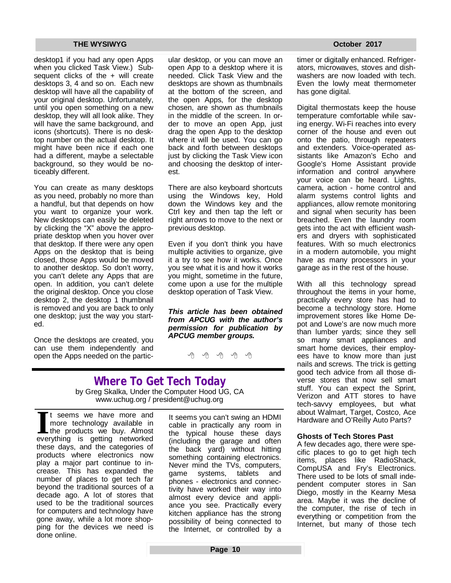desktop1 if you had any open Apps when you clicked Task View.) Subsequent clicks of the + will create desktops 3, 4 and so on. Each new desktop will have all the capability of your original desktop. Unfortunately, until you open something on a new desktop, they will all look alike. They will have the same background, and icons (shortcuts). There is no desktop number on the actual desktop. It might have been nice if each one had a different, maybe a selectable background, so they would be noticeably different.

You can create as many desktops as you need, probably no more than a handful, but that depends on how you want to organize your work. New desktops can easily be deleted by clicking the "X" above the appropriate desktop when you hover over that desktop. If there were any open Apps on the desktop that is being closed, those Apps would be moved to another desktop. So don't worry, you can't delete any Apps that are open. In addition, you can't delete the original desktop. Once you close desktop 2, the desktop 1 thumbnail is removed and you are back to only one desktop; just the way you started.

Once the desktops are created, you can use them independently and open the Apps needed on the particular desktop, or you can move an open App to a desktop where it is needed. Click Task View and the desktops are shown as thumbnails at the bottom of the screen, and the open Apps, for the desktop chosen, are shown as thumbnails in the middle of the screen. In order to move an open App, just drag the open App to the desktop where it will be used. You can go back and forth between desktops just by clicking the Task View icon and choosing the desktop of interest.

There are also keyboard shortcuts using the Windows key, Hold down the Windows key and the Ctrl key and then tap the left or right arrows to move to the next or previous desktop.

Even if you don't think you have multiple activities to organize, give it a try to see how it works. Once you see what it is and how it works you might, sometime in the future, come upon a use for the multiple desktop operation of Task View.

*This article has been obtained from APCUG with the author's permission for publication by APCUG member groups.*

9 9 9 9

### **Where To Get Tech Today** by Greg Skalka, Under the Computer Hood UG, CA www.uchug.org / [president@uchug.org](mailto:president@uchug.org)

If the seems we have more and more technology available in the products we buy. Almost everything is getting networked t seems we have more and more technology available in the products we buy. Almost these days, and the categories of products where electronics now play a major part continue to increase. This has expanded the number of places to get tech far beyond the traditional sources of a decade ago. A lot of stores that used to be the traditional sources for computers and technology have gone away, while a lot more shopping for the devices we need is done online.

It seems you can't swing an HDMI cable in practically any room in the typical house these days (including the garage and often the back yard) without hitting something containing electronics. Never mind the TVs, computers, game systems, tablets and phones - electronics and connectivity have worked their way into almost every device and appliance you see. Practically every kitchen appliance has the strong possibility of being connected to the Internet, or controlled by a

timer or digitally enhanced. Refrigerators, microwaves, stoves and dishwashers are now loaded with tech. Even the lowly meat thermometer has gone digital.

Digital thermostats keep the house temperature comfortable while saving energy. Wi-Fi reaches into every corner of the house and even out onto the patio, through repeaters and extenders. Voice-operated assistants like Amazon's Echo and Google's Home Assistant provide information and control anywhere your voice can be heard. Lights, camera, action - home control and alarm systems control lights and appliances, allow remote monitoring and signal when security has been breached. Even the laundry room gets into the act with efficient washers and dryers with sophisticated features. With so much electronics in a modern automobile, you might have as many processors in your garage as in the rest of the house.

With all this technology spread throughout the items in your home, practically every store has had to become a technology store. Home improvement stores like Home Depot and Lowe's are now much more than lumber yards; since they sell so many smart appliances and smart home devices, their employees have to know more than just nails and screws. The trick is getting good tech advice from all those diverse stores that now sell smart stuff. You can expect the Sprint, Verizon and ATT stores to have tech-savvy employees, but what about Walmart, Target, Costco, Ace Hardware and O'Reilly Auto Parts?

### **Ghosts of Tech Stores Past**

A few decades ago, there were specific places to go to get high tech items, places like RadioShack, CompUSA and Fry's Electronics. There used to be lots of small independent computer stores in San Diego, mostly in the Kearny Mesa area. Maybe it was the decline of the computer, the rise of tech in everything or competition from the Internet, but many of those tech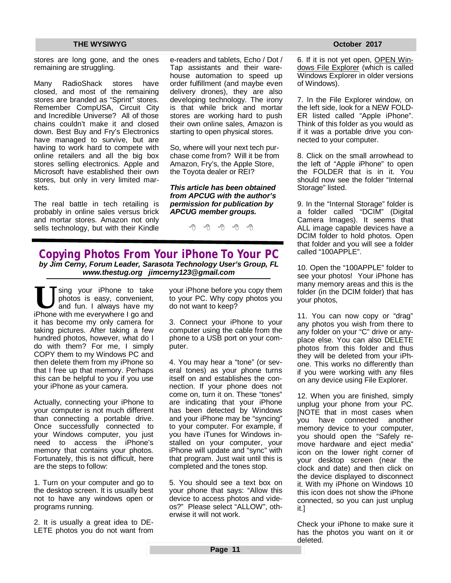stores are long gone, and the ones remaining are struggling.

Many RadioShack stores have closed, and most of the remaining stores are branded as "Sprint" stores. Remember CompUSA, Circuit City and Incredible Universe? All of those chains couldn't make it and closed down. Best Buy and Fry's Electronics have managed to survive, but are having to work hard to compete with online retailers and all the big box stores selling electronics. Apple and Microsoft have established their own stores, but only in very limited markets.

The real battle in tech retailing is probably in online sales versus brick and mortar stores. Amazon not only sells technology, but with their Kindle e-readers and tablets, Echo / Dot / Tap assistants and their warehouse automation to speed up order fulfillment (and maybe even delivery drones), they are also developing technology. The irony is that while brick and mortar stores are working hard to push their own online sales, Amazon is starting to open physical stores.

So, where will your next tech purchase come from? Will it be from Amazon, Fry's, the Apple Store, the Toyota dealer or REI?

*This article has been obtained from APCUG with the author's permission for publication by APCUG member groups.*

有 伯 伯 伯

**Copying Photos From Your iPhone To Your PC** *by Jim Cerny, Forum Leader, Sarasota Technology User's Group, FL [www.thestug.org](http://www.thestug.org) [jimcerny123@gmail.com](mailto:jimcerny123@gmail.com)*

U sing your iPhone to take photos is easy, convenient, and fun. I always have my iPhone with me everywhere I go and sing your iPhone to take photos is easy, convenient, and fun. I always have my it has become my only camera for taking pictures. After taking a few hundred photos, however, what do I do with them? For me, I simply COPY them to my Windows PC and then delete them from my iPhone so that I free up that memory. Perhaps this can be helpful to you if you use your iPhone as your camera.

Actually, connecting your iPhone to your computer is not much different than connecting a portable drive. Once successfully connected to your Windows computer, you just need to access the iPhone's memory that contains your photos. Fortunately, this is not difficult, here are the steps to follow:

1. Turn on your computer and go to the desktop screen. It is usually best not to have any windows open or programs running.

2. It is usually a great idea to DE-LETE photos you do not want from your iPhone before you copy them to your PC. Why copy photos you do not want to keep?

3. Connect your iPhone to your computer using the cable from the phone to a USB port on your computer.

4. You may hear a "tone" (or several tones) as your phone turns itself on and establishes the connection. If your phone does not come on, turn it on. These "tones" are indicating that your iPhone has been detected by Windows and your iPhone may be "syncing" to your computer. For example, if you have iTunes for Windows installed on your computer, your iPhone will update and "sync" with that program. Just wait until this is completed and the tones stop.

5. You should see a text box on your phone that says: "Allow this device to access photos and videos?" Please select "ALLOW", otherwise it will not work.

6. If it is not yet open, OPEN Windows File Explorer (which is called Windows Explorer in older versions of Windows).

7. In the File Explorer window, on the left side, look for a NEW FOLD-ER listed called "Apple iPhone". Think of this folder as you would as if it was a portable drive you connected to your computer.

8. Click on the small arrowhead to the left of "Apple iPhone" to open the FOLDER that is in it. You should now see the folder "Internal Storage" listed.

9. In the "Internal Storage" folder is a folder called "DCIM" (Digital Camera Images). It seems that ALL image capable devices have a DCIM folder to hold photos. Open that folder and you will see a folder called "100APPLE".

10. Open the "100APPLE" folder to see your photos! Your iPhone has many memory areas and this is the folder (in the DCIM folder) that has your photos,

11. You can now copy or "drag" any photos you wish from there to any folder on your "C" drive or anyplace else. You can also DELETE photos from this folder and thus they will be deleted from your iPhone. This works no differently than if you were working with any files on any device using File Explorer.

12. When you are finished, simply unplug your phone from your PC. [NOTE that in most cases when you have connected another memory device to your computer, you should open the "Safely remove hardware and eject media" icon on the lower right corner of your desktop screen (near the clock and date) and then click on the device displayed to disconnect it. With my iPhone on Windows 10 this icon does not show the iPhone connected, so you can just unplug it.]

Check your iPhone to make sure it has the photos you want on it or deleted.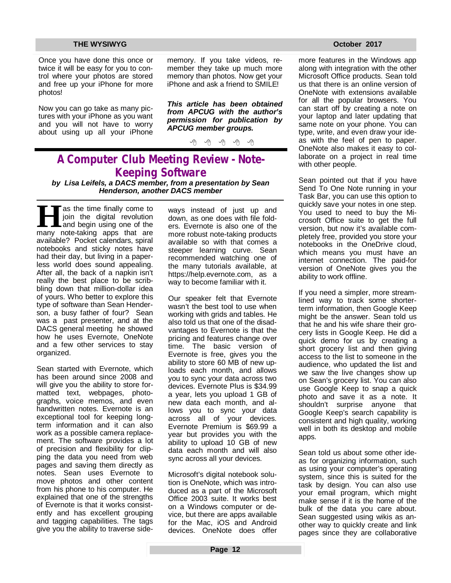Once you have done this once or twice it will be easy for you to control where your photos are stored and free up your iPhone for more photos!

Now you can go take as many pictures with your iPhone as you want and you will not have to worry about using up all your iPhone

memory. If you take videos, remember they take up much more memory than photos. Now get your iPhone and ask a friend to SMILE!

*This article has been obtained from APCUG with the author's permission for publication by APCUG member groups.*

伯 伯 伯 伯

## **A Computer Club Meeting Review - Note-Keeping Software**

*by Lisa Leifels, a DACS member, from a presentation by Sean Henderson, another DACS member*

**Herman** as the time finally come to join the digital revolution and begin using one of the many note-taking apps that are as the time finally come to join the digital revolution and begin using one of the available? Pocket calendars, spiral notebooks and sticky notes have had their day, but living in a paperless world does sound appealing. After all, the back of a napkin isn't really the best place to be scribbling down that million-dollar idea of yours. Who better to explore this type of software than Sean Henderson, a busy father of four? Sean was a past presenter, and at the DACS general meeting he showed how he uses Evernote, OneNote and a few other services to stay organized.

Sean started with Evernote, which has been around since 2008 and will give you the ability to store formatted text, webpages, photographs, voice memos, and even handwritten notes. Evernote is an exceptional tool for keeping longterm information and it can also work as a possible camera replacement. The software provides a lot of precision and flexibility for clipping the data you need from web pages and saving them directly as notes. Sean uses Evernote to move photos and other content from his phone to his computer. He explained that one of the strengths of Evernote is that it works consistently and has excellent grouping and tagging capabilities. The tags give you the ability to traverse sideways instead of just up and down, as one does with file folders. Evernote is also one of the more robust note-taking products available so with that comes a steeper learning curve. Sean recommended watching one of the many tutorials available, at <https://help.evernote.com,>as a way to become familiar with it.

Our speaker felt that Evernote wasn't the best tool to use when working with grids and tables. He also told us that one of the disadvantages to Evernote is that the pricing and features change over time. The basic version of Evernote is free, gives you the ability to store 60 MB of new uploads each month, and allows you to sync your data across two devices. Evernote Plus is \$34.99 a year, lets you upload 1 GB of new data each month, and allows you to sync your data across all of your devices. Evernote Premium is \$69.99 a year but provides you with the ability to upload 10 GB of new data each month and will also sync across all your devices.

Microsoft's digital notebook solution is OneNote, which was introduced as a part of the Microsoft Office 2003 suite. It works best on a Windows computer or device, but there are apps available for the Mac, iOS and Android devices. OneNote does offer

more features in the Windows app along with integration with the other Microsoft Office products. Sean told us that there is an online version of OneNote with extensions available for all the popular browsers. You can start off by creating a note on your laptop and later updating that same note on your phone. You can type, write, and even draw your ideas with the feel of pen to paper. OneNote also makes it easy to collaborate on a project in real time with other people.

Sean pointed out that if you have Send To One Note running in your Task Bar, you can use this option to quickly save your notes in one step. You used to need to buy the Microsoft Office suite to get the full version, but now it's available completely free, provided you store your notebooks in the OneDrive cloud, which means you must have an internet connection. The paid-for version of OneNote gives you the ability to work offline.

If you need a simpler, more streamlined way to track some shorterterm information, then Google Keep might be the answer. Sean told us that he and his wife share their grocery lists in Google Keep. He did a quick demo for us by creating a short grocery list and then giving access to the list to someone in the audience, who updated the list and we saw the live changes show up on Sean's grocery list. You can also use Google Keep to snap a quick photo and save it as a note. It shouldn't surprise anyone that Google Keep's search capability is consistent and high quality, working well in both its desktop and mobile apps.

Sean told us about some other ideas for organizing information, such as using your computer's operating system, since this is suited for the task by design. You can also use your email program, which might make sense if it is the home of the bulk of the data you care about. Sean suggested using wikis as another way to quickly create and link pages since they are collaborative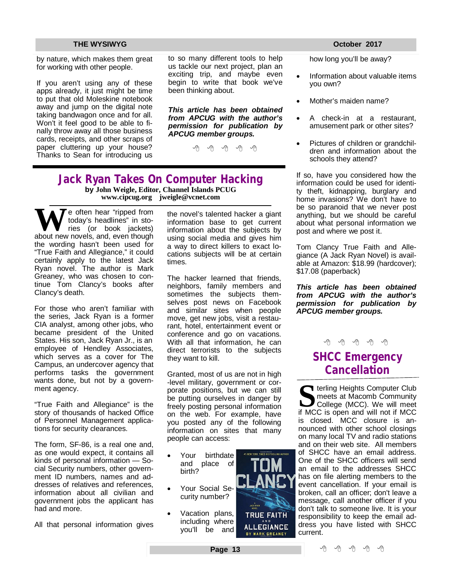by nature, which makes them great for working with other people.

If you aren't using any of these apps already, it just might be time to put that old Moleskine notebook away and jump on the digital note taking bandwagon once and for all. Won't it feel good to be able to finally throw away all those business cards, receipts, and other scraps of paper cluttering up your house? Thanks to Sean for introducing us

to so many different tools to help us tackle our next project, plan an exciting trip, and maybe even begin to write that book we've been thinking about.

*This article has been obtained from APCUG with the author's permission for publication by APCUG member groups.*

e e e e e

### **Jack Ryan Takes On Computer Hacking by John Weigle, Editor, Channel Islands PCUG [www.cipcug.org](http://www.cipcug.org) [jweigle@vcnet.com](mailto:jweigle@vcnet.com)**

We often hear "ripped from<br>
today's headlines" in sto-<br>
ries (or book jackets)<br>
about new novels, and, even though today's headlines" in stories (or book jackets) the wording hasn't been used for "True Faith and Allegiance," it could certainly apply to the latest Jack Ryan novel. The author is Mark Greaney, who was chosen to continue Tom Clancy's books after Clancy's death.

For those who aren't familiar with the series, Jack Ryan is a former CIA analyst, among other jobs, who became president of the United States. His son, Jack Ryan Jr., is an employee of Hendley Associates, which serves as a cover for The Campus, an undercover agency that performs tasks the government wants done, but not by a government agency.

"True Faith and Allegiance" is the story of thousands of hacked Office of Personnel Management applications for security clearances.

The form, SF-86, is a real one and, as one would expect, it contains all kinds of personal information — Social Security numbers, other government ID numbers, names and addresses of relatives and references, information about all civilian and government jobs the applicant has had and more.

All that personal information gives

the novel's talented hacker a giant information base to get current information about the subjects by using social media and gives him a way to direct killers to exact locations subjects will be at certain times.

The hacker learned that friends, neighbors, family members and sometimes the subjects themselves post news on Facebook and similar sites when people move, get new jobs, visit a restaurant, hotel, entertainment event or conference and go on vacations. With all that information, he can direct terrorists to the subjects they want to kill.

Granted, most of us are not in high -level military, government or corporate positions, but we can still be putting ourselves in danger by freely posting personal information on the web. For example, have you posted any of the following information on sites that many people can access:

- Your birthdate and place of birth?
- Your Social Security number?
- Vacation plans, including where you'll be and



how long you'll be away?

- Information about valuable items you own?
- Mother's maiden name?
- A check-in at a restaurant, amusement park or other sites?
- Pictures of children or grandchildren and information about the schools they attend?

If so, have you considered how the information could be used for identity theft, kidnapping, burglary and home invasions? We don't have to be so paranoid that we never post anything, but we should be careful about what personal information we post and where we post it.

Tom Clancy True Faith and Allegiance (A Jack Ryan Novel) is available at Amazon: \$18.99 (hardcover); \$17.08 (paperback)

*This article has been obtained from APCUG with the author's permission for publication by APCUG member groups.*



## **SHCC Emergency Cancellation**

**S S i** terling Heights Computer Club<br>
meets at Macomb Community<br>
College (MCC). We will meet<br>
if MCC is open and will not if MCC **T** terling Heights Computer Club meets at Macomb Community College (MCC). We will meet is closed. MCC closure is announced with other school closings on many local TV and radio stations and on their web site. All members of SHCC have an email address. One of the SHCC officers will send an email to the addresses SHCC has on file alerting members to the event cancellation. If your email is broken, call an officer; don't leave a message, call another officer if you don't talk to someone live. It is your responsibility to keep the email address you have listed with SHCC current.